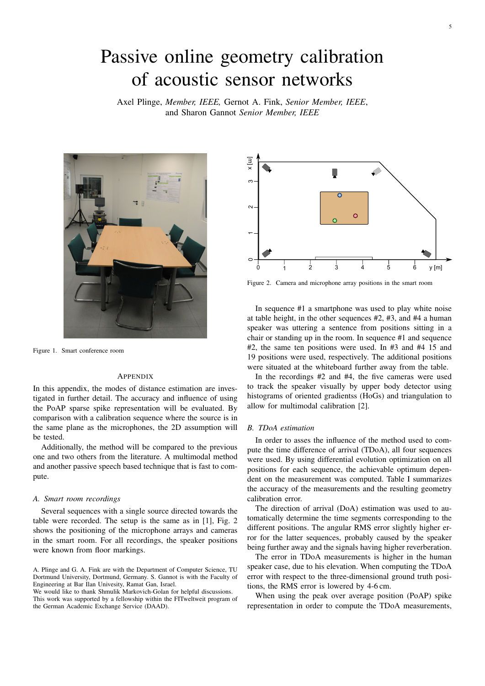# <span id="page-0-1"></span>Passive online geometry calibration of acoustic sensor networks

Axel Plinge, *Member, IEEE,* Gernot A. Fink, *Senior Member, IEEE*, and Sharon Gannot *Senior Member, IEEE*



Figure 1. Smart conference room

## APPENDIX

In this appendix, the modes of distance estimation are investigated in further detail. The accuracy and influence of using the PoAP sparse spike representation will be evaluated. By comparison with a calibration sequence where the source is in the same plane as the microphones, the 2D assumption will be tested.

Additionally, the method will be compared to the previous one and two others from the literature. A multimodal method and another passive speech based technique that is fast to compute.

## *A. Smart room recordings*

Several sequences with a single source directed towards the table were recorded. The setup is the same as in [\[1\]](#page-1-0), Fig. [2](#page-0-0) shows the positioning of the microphone arrays and cameras in the smart room. For all recordings, the speaker positions were known from floor markings.

A. Plinge and G. A. Fink are with the Department of Computer Science, TU Dortmund University, Dortmund, Germany. S. Gannot is with the Faculty of Engineering at Bar Ilan Univesity, Ramat Gan, Israel.

We would like to thank Shmulik Markovich-Golan for helpful discussions. This work was supported by a fellowship within the FITweltweit program of the German Academic Exchange Service (DAAD).



<span id="page-0-0"></span>Figure 2. Camera and microphone array positions in the smart room

In sequence #1 a smartphone was used to play white noise at table height, in the other sequences #2, #3, and #4 a human speaker was uttering a sentence from positions sitting in a chair or standing up in the room. In sequence #1 and sequence #2, the same ten positions were used. In #3 and #4 15 and 19 positions were used, respectively. The additional positions were situated at the whiteboard further away from the table.

In the recordings #2 and #4, the five cameras were used to track the speaker visually by upper body detector using histograms of oriented gradientss (HoGs) and triangulation to allow for multimodal calibration [\[2\]](#page-1-1).

#### *B. TDoA estimation*

In order to asses the influence of the method used to compute the time difference of arrival (TDoA), all four sequences were used. By using differential evolution optimization on all positions for each sequence, the achievable optimum dependent on the measurement was computed. Table [I](#page-1-2) summarizes the accuracy of the measurements and the resulting geometry calibration error.

The direction of arrival (DoA) estimation was used to automatically determine the time segments corresponding to the different positions. The angular RMS error slightly higher error for the latter sequences, probably caused by the speaker being further away and the signals having higher reverberation.

The error in TDoA measurements is higher in the human speaker case, due to his elevation. When computing the TDoA error with respect to the three-dimensional ground truth positions, the RMS error is lowered by 4-6 cm.

When using the peak over average position (PoAP) spike representation in order to compute the TDoA measurements,